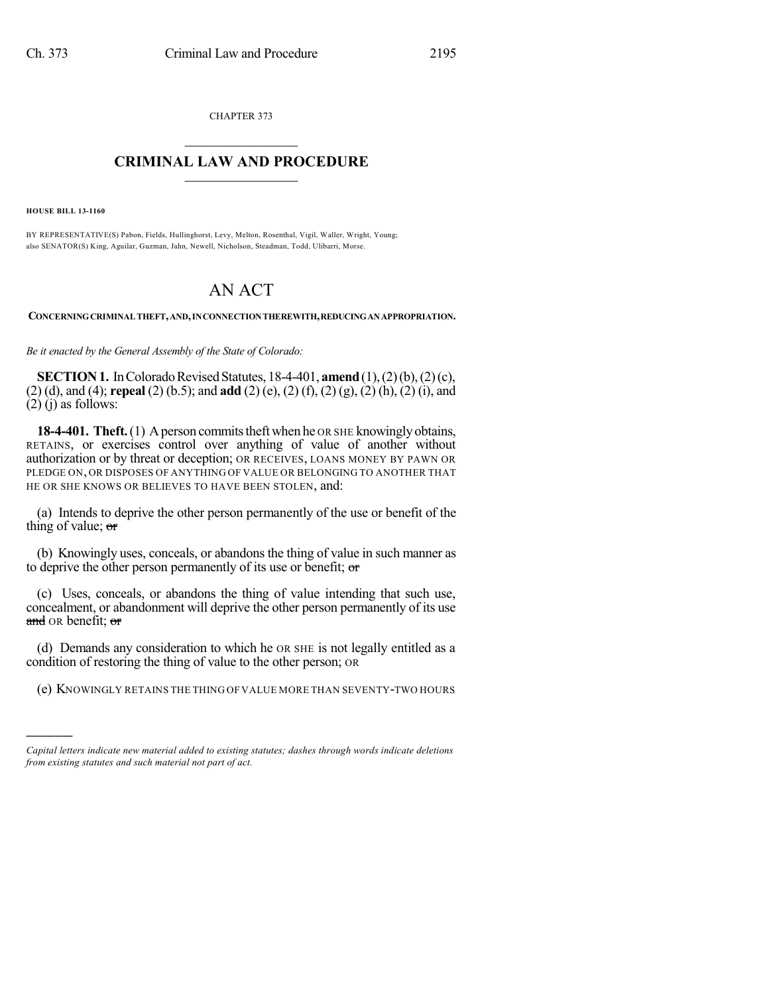CHAPTER 373  $\mathcal{L}_\text{max}$  . The set of the set of the set of the set of the set of the set of the set of the set of the set of the set of the set of the set of the set of the set of the set of the set of the set of the set of the set

## **CRIMINAL LAW AND PROCEDURE**  $\_$

**HOUSE BILL 13-1160**

)))))

BY REPRESENTATIVE(S) Pabon, Fields, Hullinghorst, Levy, Melton, Rosenthal, Vigil, Waller, Wright, Young; also SENATOR(S) King, Aguilar, Guzman, Jahn, Newell, Nicholson, Steadman, Todd, Ulibarri, Morse.

## AN ACT

**CONCERNINGCRIMINAL THEFT,AND,INCONNECTIONTHEREWITH,REDUCINGANAPPROPRIATION.**

*Be it enacted by the General Assembly of the State of Colorado:*

**SECTION 1.** In Colorado Revised Statutes, 18-4-401, **amend** (1), (2) (b), (2) (c), (2) (d), and (4); **repeal** (2) (b.5); and **add** (2) (e), (2) (f), (2) (g), (2) (h), (2) (i), and  $(2)$  (j) as follows:

**18-4-401. Theft.** (1) A person commits theft when he OR SHE knowingly obtains, RETAINS, or exercises control over anything of value of another without authorization or by threat or deception; OR RECEIVES, LOANS MONEY BY PAWN OR PLEDGE ON, OR DISPOSES OF ANYTHING OF VALUE OR BELONGING TO ANOTHER THAT HE OR SHE KNOWS OR BELIEVES TO HAVE BEEN STOLEN, and:

(a) Intends to deprive the other person permanently of the use or benefit of the thing of value;  $\sigma$ 

(b) Knowingly uses, conceals, or abandons the thing of value in such manner as to deprive the other person permanently of its use or benefit; or

(c) Uses, conceals, or abandons the thing of value intending that such use, concealment, or abandonment will deprive the other person permanently of its use and OR benefit; or

(d) Demands any consideration to which he OR SHE is not legally entitled as a condition of restoring the thing of value to the other person; OR

(e) KNOWINGLY RETAINS THE THING OF VALUE MORE THAN SEVENTY-TWO HOURS

*Capital letters indicate new material added to existing statutes; dashes through words indicate deletions from existing statutes and such material not part of act.*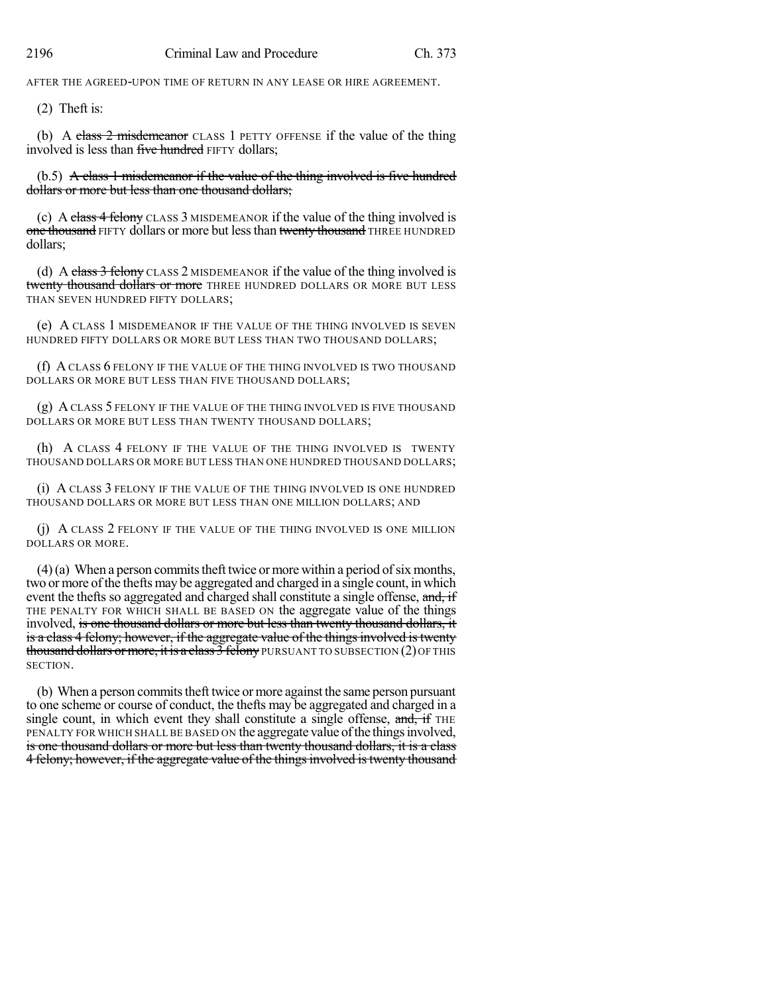AFTER THE AGREED-UPON TIME OF RETURN IN ANY LEASE OR HIRE AGREEMENT.

(2) Theft is:

(b) A class  $2$  misdemeanor CLASS 1 PETTY OFFENSE if the value of the thing involved is less than five hundred FIFTY dollars;

(b.5) A class 1 misdemeanor if the value of the thing involved is five hundred dollars or more but less than one thousand dollars;

(c) A class 4 felony CLASS 3 MISDEMEANOR if the value of the thing involved is one thousand FIFTY dollars or more but less than twenty thousand THREE HUNDRED dollars;

(d) A class 3 felony CLASS 2 MISDEMEANOR if the value of the thing involved is twenty thousand dollars or more THREE HUNDRED DOLLARS OR MORE BUT LESS THAN SEVEN HUNDRED FIFTY DOLLARS;

(e) A CLASS 1 MISDEMEANOR IF THE VALUE OF THE THING INVOLVED IS SEVEN HUNDRED FIFTY DOLLARS OR MORE BUT LESS THAN TWO THOUSAND DOLLARS;

(f) A CLASS 6 FELONY IF THE VALUE OF THE THING INVOLVED IS TWO THOUSAND DOLLARS OR MORE BUT LESS THAN FIVE THOUSAND DOLLARS;

(g) A CLASS 5 FELONY IF THE VALUE OF THE THING INVOLVED IS FIVE THOUSAND DOLLARS OR MORE BUT LESS THAN TWENTY THOUSAND DOLLARS;

(h) A CLASS 4 FELONY IF THE VALUE OF THE THING INVOLVED IS TWENTY THOUSAND DOLLARS OR MORE BUT LESS THAN ONE HUNDRED THOUSAND DOLLARS;

(i) A CLASS 3 FELONY IF THE VALUE OF THE THING INVOLVED IS ONE HUNDRED THOUSAND DOLLARS OR MORE BUT LESS THAN ONE MILLION DOLLARS; AND

(j) A CLASS 2 FELONY IF THE VALUE OF THE THING INVOLVED IS ONE MILLION DOLLARS OR MORE.

 $(4)$  (a) When a person commits theft twice or more within a period of six months, two or more of the thefts may be aggregated and charged in a single count, in which event the thefts so aggregated and charged shall constitute a single offense, and, if THE PENALTY FOR WHICH SHALL BE BASED ON the aggregate value of the things involved, is one thousand dollars or more but less than twenty thousand dollars, it is a class 4 felony; however, if the aggregate value of the things involved is twenty thousand dollars or more, it is a class  $\overline{3}$  felony PURSUANT TO SUBSECTION (2) OF THIS SECTION.

(b) When a person commits theft twice or more against the same person pursuant to one scheme or course of conduct, the thefts may be aggregated and charged in a single count, in which event they shall constitute a single offense,  $\overline{and}$ , if THE PENALTY FOR WHICH SHALL BE BASED ON the aggregate value of the things involved, is one thousand dollars or more but less than twenty thousand dollars, it is a class 4 felony; however, if the aggregate value of the things involved is twenty thousand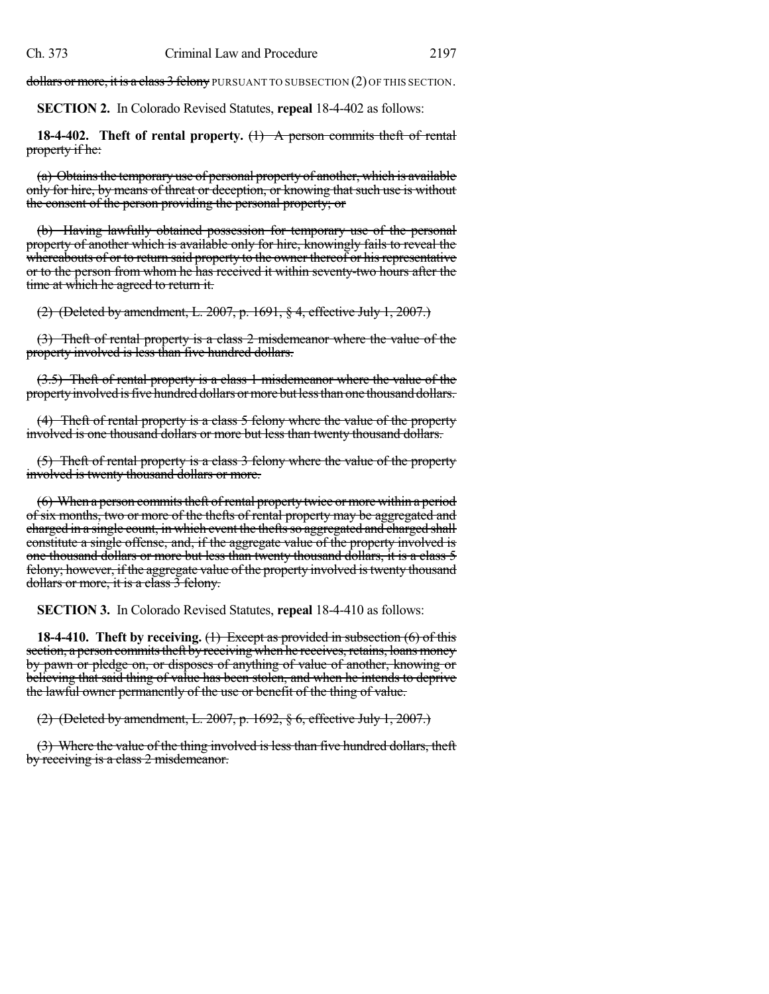dollars or more, it is a class 3 felony PURSUANT TO SUBSECTION (2) OF THIS SECTION.

**SECTION 2.** In Colorado Revised Statutes, **repeal** 18-4-402 as follows:

**18-4-402. Theft of rental property.** (1) A person commits theft of rental property if he:

(a) Obtains the temporary use of personal property of another, which is available only for hire, by means of threat or deception, or knowing that such use is without the consent of the person providing the personal property; or

(b) Having lawfully obtained possession for temporary use of the personal property of another which is available only for hire, knowingly fails to reveal the whereabouts of or to return said property to the owner thereof or his representative or to the person from whom he has received it within seventy-two hours after the time at which he agreed to return it.

(2) (Deleted by amendment, L. 2007, p. 1691, § 4, effective July 1, 2007.)

(3) Theft of rental property is a class 2 misdemeanor where the value of the property involved is less than five hundred dollars.

(3.5) Theft of rental property is a class 1 misdemeanor where the value of the property involved is five hundred dollars or more but less than one thousand dollars.

(4) Theft of rental property is a class 5 felony where the value of the property involved is one thousand dollars or more but less than twenty thousand dollars.

(5) Theft of rental property is a class 3 felony where the value of the property involved is twenty thousand dollars or more.

(6) When a person commits theft of rental property twice or more within a period of six months, two or more of the thefts of rental property may be aggregated and charged in a single count, in which event the thefts so aggregated and charged shall constitute a single offense, and, if the aggregate value of the property involved is one thousand dollars or more but less than twenty thousand dollars, it is a class 5 felony; however, if the aggregate value of the property involved istwenty thousand dollars or more, it is a class 3 felony.

**SECTION 3.** In Colorado Revised Statutes, **repeal** 18-4-410 as follows:

**18-4-410. Theft by receiving.** (1) Except as provided in subsection (6) of this section, a person commits theft by receiving when he receives, retains, loans money by pawn or pledge on, or disposes of anything of value of another, knowing or believing that said thing of value has been stolen, and when he intends to deprive the lawful owner permanently of the use or benefit of the thing of value.

(2) (Deleted by amendment, L. 2007, p. 1692, § 6, effective July 1, 2007.)

(3) Where the value of the thing involved is less than five hundred dollars, theft by receiving is a class 2 misdemeanor.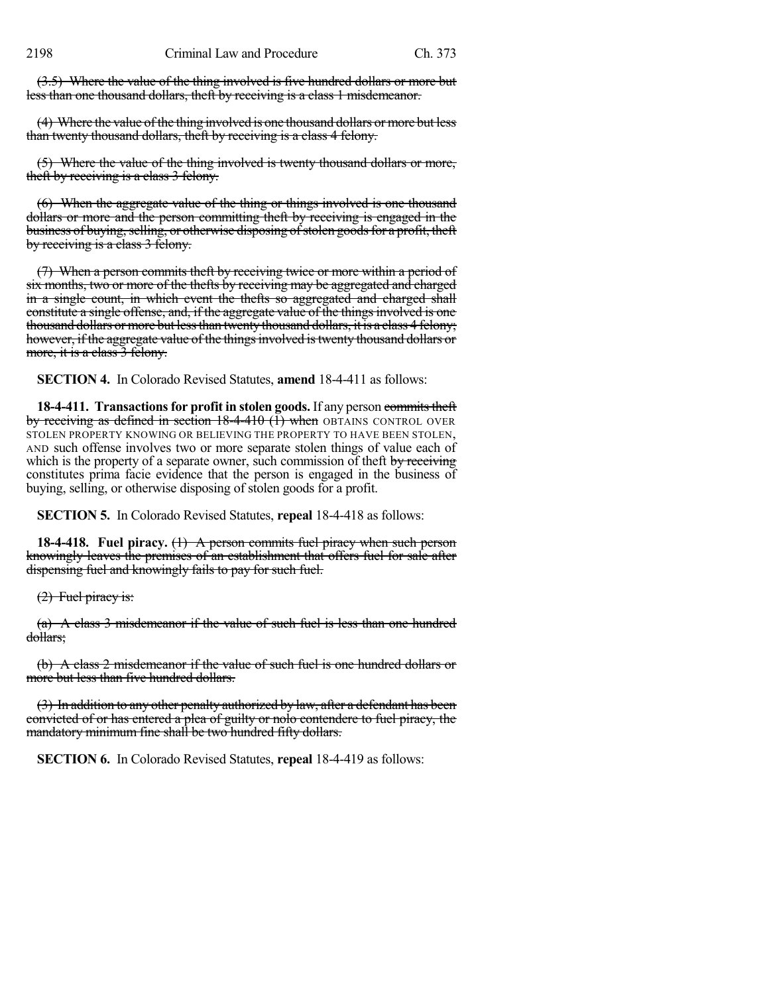(3.5) Where the value of the thing involved is five hundred dollars or more but less than one thousand dollars, theft by receiving is a class 1 misdemeanor.

(4) Where the value of the thing involved is one thousand dollars or more but less than twenty thousand dollars, theft by receiving is a class 4 felony.

(5) Where the value of the thing involved is twenty thousand dollars or more, theft by receiving is a class 3 felony.

(6) When the aggregate value of the thing or things involved is one thousand dollars or more and the person committing theft by receiving is engaged in the business of buying, selling, or otherwise disposing of stolen goods for a profit, theft by receiving is a class 3 felony.

(7) When a person commits theft by receiving twice or more within a period of six months, two or more of the thefts by receiving may be aggregated and charged in a single count, in which event the thefts so aggregated and charged shall constitute a single offense, and, if the aggregate value of the things involved is one thousand dollars or more but less than twenty thousand dollars, it is a class 4 felony; however, if the aggregate value of the things involved is twenty thousand dollars or more, it is a class 3 felony.

**SECTION 4.** In Colorado Revised Statutes, **amend** 18-4-411 as follows:

**18-4-411. Transactions for profit in stolen goods.** If any person commits theft by receiving as defined in section  $18-4-410$  (1) when OBTAINS CONTROL OVER STOLEN PROPERTY KNOWING OR BELIEVING THE PROPERTY TO HAVE BEEN STOLEN, AND such offense involves two or more separate stolen things of value each of which is the property of a separate owner, such commission of theft by receiving constitutes prima facie evidence that the person is engaged in the business of buying, selling, or otherwise disposing of stolen goods for a profit.

**SECTION 5.** In Colorado Revised Statutes, **repeal** 18-4-418 as follows:

**18-4-418. Fuel piracy.** (1) A person commits fuel piracy when such person knowingly leaves the premises of an establishment that offers fuel for sale after dispensing fuel and knowingly fails to pay for such fuel.

(2) Fuel piracy is:

(a) A class 3 misdemeanor if the value of such fuel is less than one hundred dollars;

(b) A class 2 misdemeanor if the value of such fuel is one hundred dollars or more but less than five hundred dollars.

(3) In addition to any other penalty authorized by law, after a defendant has been convicted of or has entered a plea of guilty or nolo contendere to fuel piracy, the mandatory minimum fine shall be two hundred fifty dollars.

**SECTION 6.** In Colorado Revised Statutes, **repeal** 18-4-419 as follows: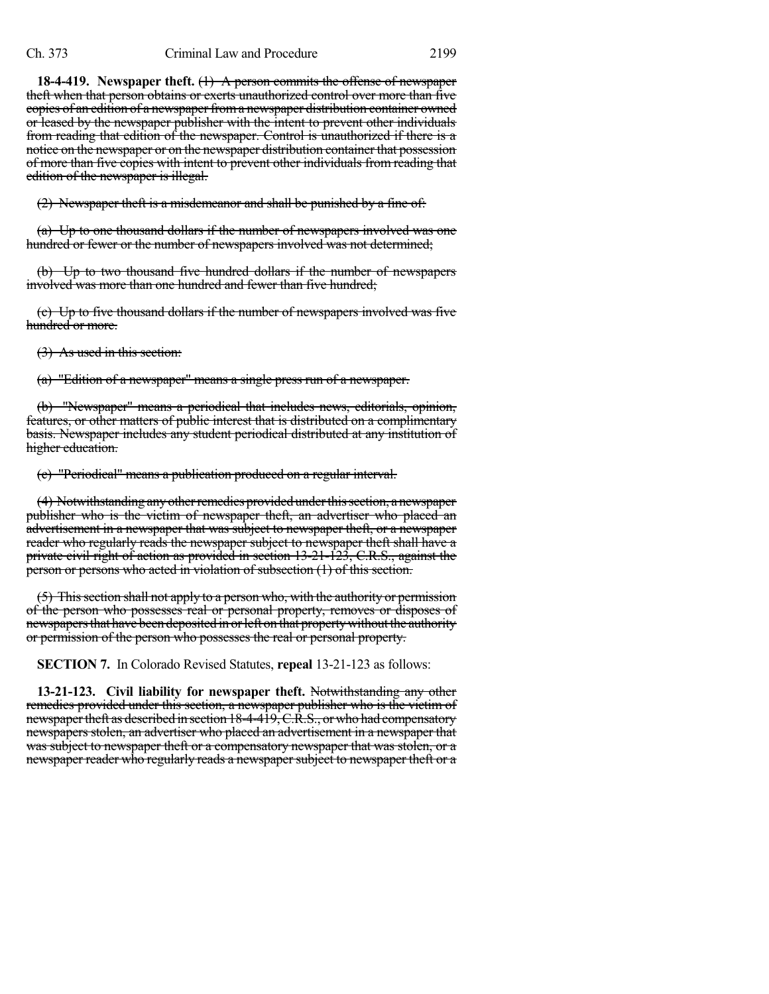**18-4-419. Newspaper theft.** (1) A person commits the offense of newspaper theft when that person obtains or exerts unauthorized control over more than five copies of an edition of a newspaper from a newspaper distribution container owned or leased by the newspaper publisher with the intent to prevent other individuals from reading that edition of the newspaper. Control is unauthorized if there is a notice on the newspaper or on the newspaper distribution container that possession of more than five copies with intent to prevent other individuals from reading that edition of the newspaper is illegal.

(2) Newspaper theft is a misdemeanor and shall be punished by a fine of:

(a) Up to one thousand dollars if the number of newspapers involved was one hundred or fewer or the number of newspapers involved was not determined;

(b) Up to two thousand five hundred dollars if the number of newspapers involved was more than one hundred and fewer than five hundred;

(c) Up to five thousand dollars if the number of newspapers involved was five hundred or more.

(3) As used in this section:

(a) "Edition of a newspaper" means a single press run of a newspaper.

(b) "Newspaper" means a periodical that includes news, editorials, opinion, features, or other matters of public interest that is distributed on a complimentary basis. Newspaper includes any student periodical distributed at any institution of higher education.

(c) "Periodical" means a publication produced on a regular interval.

(4) Notwithstanding any other remedies provided under this section, a newspaper publisher who is the victim of newspaper theft, an advertiser who placed an advertisement in a newspaper that was subject to newspaper theft, or a newspaper reader who regularly reads the newspaper subject to newspaper theft shall have a private civil right of action as provided in section 13-21-123, C.R.S., against the person or persons who acted in violation of subsection (1) of this section.

(5) Thissection shall not apply to a person who, with the authority or permission of the person who possesses real or personal property, removes or disposes of newspapers that have been deposited in or left on that property without the authority or permission of the person who possesses the real or personal property.

**SECTION 7.** In Colorado Revised Statutes, **repeal** 13-21-123 as follows:

**13-21-123. Civil liability for newspaper theft.** Notwithstanding any other remedies provided under this section, a newspaper publisher who is the victim of newspaper theft as described in section 18-4-419, C.R.S., or who had compensatory newspapers stolen, an advertiser who placed an advertisement in a newspaper that was subject to newspaper theft or a compensatory newspaper that was stolen, or a newspaper reader who regularly reads a newspaper subject to newspaper theft or a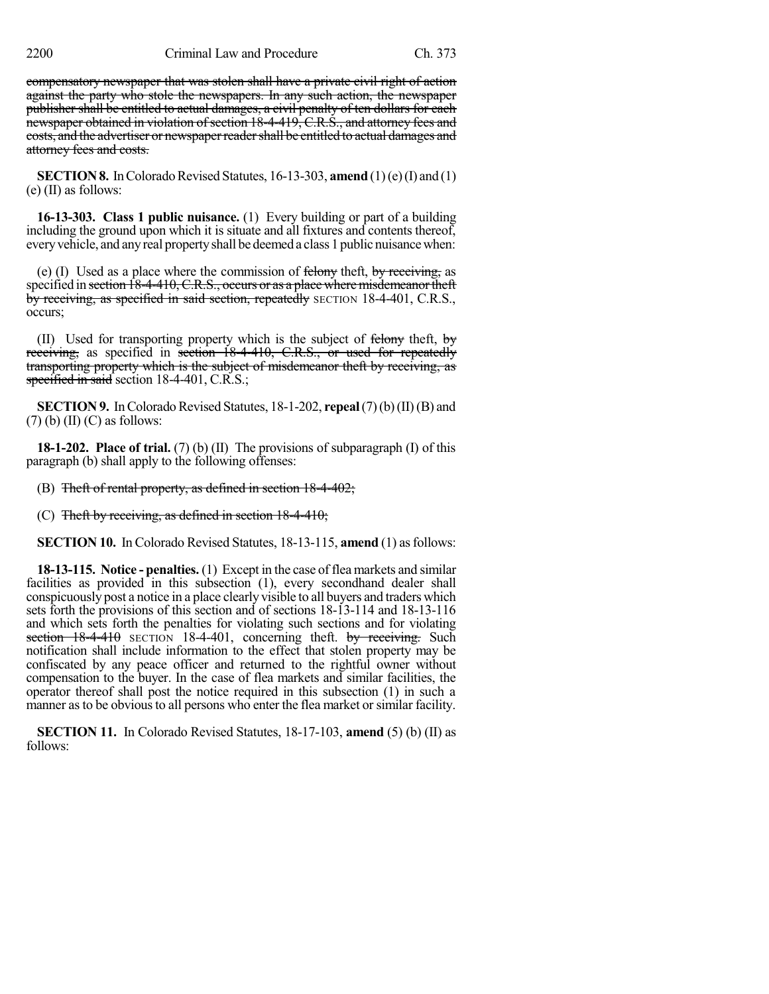compensatory newspaper that was stolen shall have a private civil right of action against the party who stole the newspapers. In any such action, the newspaper publisher shall be entitled to actual damages, a civil penalty of ten dollars for each newspaper obtained in violation of section 18-4-419, C.R.S., and attorney fees and costs, and the advertiser or newspaperreadershall be entitled to actual damages and attorney fees and costs.

**SECTION 8.** In Colorado Revised Statutes, 16-13-303, **amend** (1)(e)(I) and (1) (e) (II) as follows:

**16-13-303. Class 1 public nuisance.** (1) Every building or part of a building including the ground upon which it is situate and all fixtures and contents thereof, everyvehicle, and anyreal propertyshall be deemed a class 1 public nuisancewhen:

(e) (I) Used as a place where the commission of  $f_{\text{td}}$  then  $f_{\text{td}}$ , by receiving, as specified in section  $\overline{18-4-410}$ , C.R.S., occurs or as a place where misdemeanor theft by receiving, as specified in said section, repeatedly SECTION 18-4-401, C.R.S., occurs;

(II) Used for transporting property which is the subject of  $f$ elony theft, by receiving, as specified in section 18-4-410, C.R.S., or used for repeatedly transporting property which is the subject of misdemeanor theft by receiving, as specified in said section 18-4-401, C.R.S.;

**SECTION 9.** In Colorado Revised Statutes, 18-1-202, **repeal** (7)(b)(II)(B) and  $(7)$  (b) (II) (C) as follows:

**18-1-202. Place of trial.** (7) (b) (II) The provisions of subparagraph (I) of this paragraph (b) shall apply to the following offenses:

(B) Theft of rental property, as defined in section 18-4-402;

(C) Theft by receiving, as defined in section  $18-4-410$ ;

**SECTION 10.** In Colorado Revised Statutes, 18-13-115, **amend** (1) as follows:

**18-13-115. Notice - penalties.** (1) Except in the case of flea markets and similar facilities as provided in this subsection (1), every secondhand dealer shall conspicuously post a notice in a place clearly visible to all buyers and traders which sets forth the provisions of this section and of sections 18-13-114 and 18-13-116 and which sets forth the penalties for violating such sections and for violating section  $18-4-410$  SECTION 18-4-401, concerning theft. by receiving. Such notification shall include information to the effect that stolen property may be confiscated by any peace officer and returned to the rightful owner without compensation to the buyer. In the case of flea markets and similar facilities, the operator thereof shall post the notice required in this subsection (1) in such a manner as to be obvious to all persons who enter the flea market or similar facility.

**SECTION 11.** In Colorado Revised Statutes, 18-17-103, **amend** (5) (b) (II) as follows: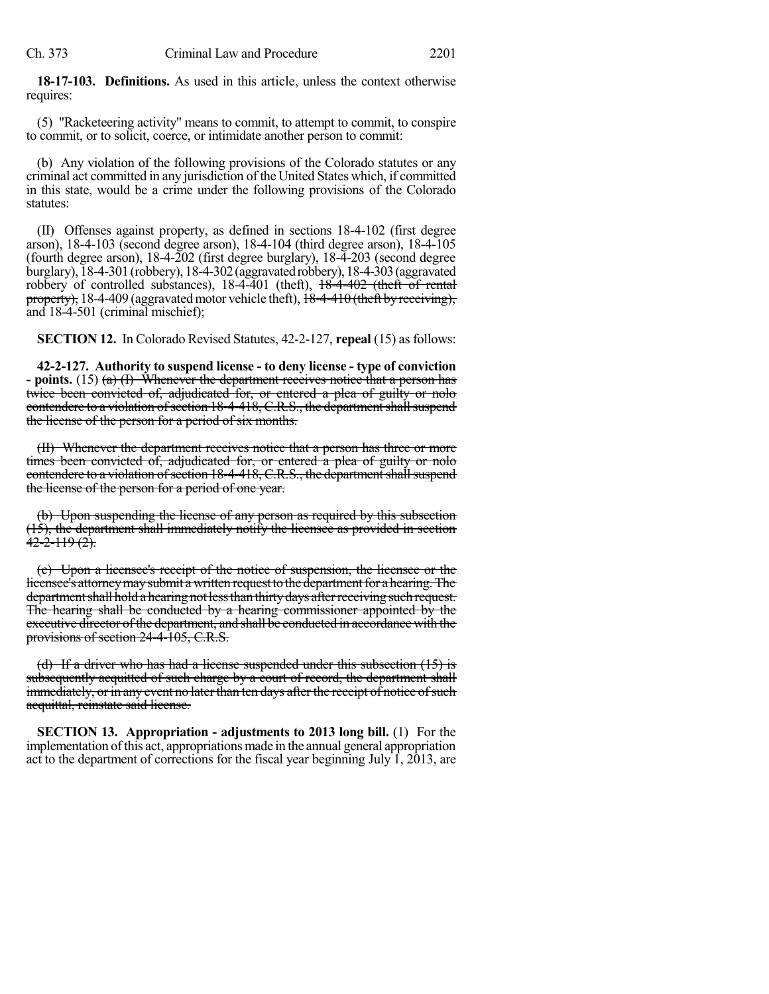**18-17-103. Definitions.** As used in this article, unless the context otherwise requires:

(5) "Racketeering activity" means to commit, to attempt to commit, to conspire to commit, or to solicit, coerce, or intimidate another person to commit:

(b) Any violation of the following provisions of the Colorado statutes or any criminal act committed in any jurisdiction of the United States which, if committed in this state, would be a crime under the following provisions of the Colorado statutes:

(II) Offenses against property, as defined in sections 18-4-102 (first degree arson), 18-4-103 (second degree arson), 18-4-104 (third degree arson), 18-4-105 (fourth degree arson), 18-4-202 (first degree burglary), 18-4-203 (second degree burglary), 18-4-301(robbery), 18-4-302(aggravatedrobbery),18-4-303(aggravated robbery of controlled substances), 18-4-401 (theft), 18-4-402 (theft of rental property), 18-4-409 (aggravated motor vehicle theft), 18-4-410 (theft by receiving), and 18-4-501 (criminal mischief);

**SECTION 12.** In Colorado Revised Statutes, 42-2-127, **repeal** (15) as follows:

**42-2-127. Authority to suspend license - to deny license - type of conviction - points.** (15) (a) (I) Whenever the department receives notice that a person has twice been convicted of, adjudicated for, or entered a plea of guilty or nolo contendere to a violation of section 18-4-418, C.R.S., the department shall suspend the license of the person for a period of six months.

(II) Whenever the department receives notice that a person has three or more times been convicted of, adjudicated for, or entered a plea of guilty or nolo contendere to a violation of section 18-4-418, C.R.S., the department shall suspend the license of the person for a period of one year.

(b) Upon suspending the license of any person as required by this subsection (15), the department shall immediately notify the licensee as provided in section <del>42-2-119 (2).</del>

(c) Upon a licensee's receipt of the notice of suspension, the licensee or the licensee's attorney may submit a written request to the department for a hearing. The department shall hold a hearing not less than thirty days after receiving such request. The hearing shall be conducted by a hearing commissioner appointed by the executive director of the department, and shall be conducted in accordance with the provisions of section 24-4-105, C.R.S.

(d) If a driver who has had a license suspended under this subsection (15) is subsequently acquitted of such charge by a court of record, the department shall immediately, or in any event no later than ten days after the receipt of notice of such acquittal, reinstate said license.

**SECTION 13. Appropriation - adjustments to 2013 long bill.** (1) For the implementation ofthis act, appropriations made in the annual general appropriation act to the department of corrections for the fiscal year beginning July 1, 2013, are